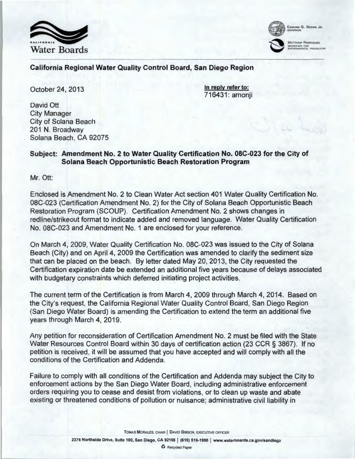



### California Regional Water Quality Control Board, San Diego Region

October 24, 2013

In reply refer to: 716431: amonji

David Ott City Manager City of Solana Beach 201 N. Broadway Solana Beach, CA 92075

# Subject: Amendment No. 2 to Water Quality Certification No. OSC-023 for the City of Solana Beach Opportunistic Beach Restoration Program

Mr. Ott:

Enclosed is Amendment No.2 to Clean Water Act section 401 Water Quality Certification No. OSC-023 (Certification Amendment No. 2) for the City of Solana Beach Opportunistic Beach Restoration Program (SCOUP). Certification Amendment No.2 shows changes in redline/strikeout format to indicate added and removed language. Water Quality Certification No. OSC-023 and Amendment No. 1 are enclosed for your reference.

On March 4, 2009, Water Quality Certification No. OSC-023 was issued to the City of Solana Beach (City) and on April 4, 2009 the Certification was amended to clarify the sediment size that can be placed on the beach. By letter dated May 20, 2013, the City requested the Certification expiration date be extended an additional five years because of delays associated with budgetary constraints which deferred initiating project activities.

The current term of the Certification is from March 4, 2009 through March 4, 2014. Based on the City's request, the California Regional Water Quality Control Board, San Diego Region (San Diego Water Board) is amending the Certification to extend the term an additional five years through March 4, 2019.

Any petition for reconsideration of Certification Amendment No. 2 must be filed with the State Water Resources Control Board within 30 days of certification action (23 CCR § 3867). If no petition is received, it will be assumed that you have accepted and will comply with all the conditions of the Certification and Addenda.

Failure to comply with all conditions of the Certification and Addenda may subject the City to enforcement actions by the San Diego Water Board, including administrative enforcement orders requiring you to cease and desist from violations, or to clean up waste and abate existing or threatened conditions of pollution or nuisance; administrative civil liability in

TOMAS MORALES, CHAIR | DAVID GIBSON, EXECUTIVE OFFICER

0 Recycled Paper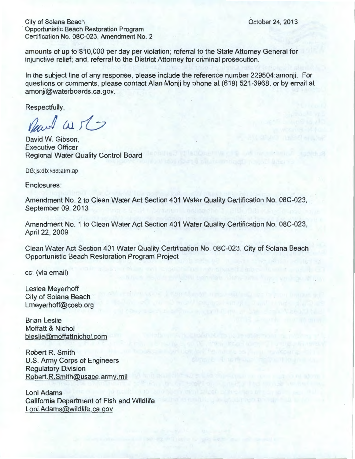City of Solana Beach Opportunistic Beach Restoration Program Certification No. OSC-023, Amendment No. 2

amounts of up to \$10,000 per day per violation; referral to the State Attorney General for injunctive relief; and, referral to the District Attorney for criminal prosecution.

In the subject line of any response, please include the reference number 229504:amonji. For questions or comments, please contact Alan Monji by phone at (619) 521-3968, or by email at amonji@waterboards.ca.gov.

Respectfully,

Rewal Wit

David W. Gibson, Executive Officer Regional Water Quality Control Board

DG:js:db:kdd:atm:ap

Enclosures:

Amendment No.2 to Clean Water Act Section 401 Water Quality Certification No. OBC-023, September 09, 2013

Amendment No. 1 to Clean Water Act Section 401 Water Quality Certification No. OBC-023, April 22, 2009

Clean Water Act Section 401 Water Quality Certification No. OBC-023, City of Solana Beach Opportunistic Beach Restoration Program Project

cc: (via email)

Leslea Meyerhoff City of Solana Beach Lmeyerhoff@cosb. org

Brian Leslie Moffatt & Nichol bleslie@moffattnichol.com

Robert R. Smith U.S. Army Corps of Engineers Regulatory Division Robert.R.Smith@usace.army.mil

Loni Adams California Department of Fish and Wildlife Loni.Adams@wildlife.ca.gov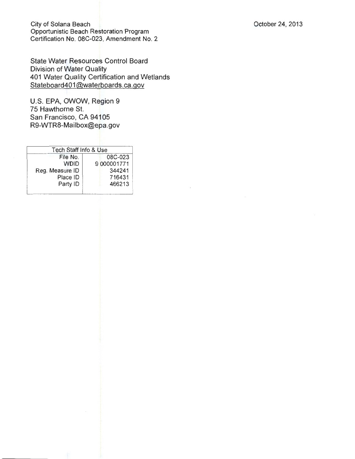City of Solana Beach Opportunistic Beach Restoration Program Certification No. OSC-023, Amendment No. 2

State Water Resources Control Board Division of Water Quality 401 Water Quality Certification and Wetlands Stateboard401@waterboards.ca.gov

U.S. EPA, OWOW, Region 9 75 Hawthorne St. San Francisco, CA 94105 R9-WTR8-Mailbox@epa.gov

| Tech Staff Info & Use |             |
|-----------------------|-------------|
| File No               | 08C-023     |
| חורו                  | 9 000001771 |
| Reg. Measure ID       | 344241      |
| Place ID              | 716431      |
| Party ID              | 466213      |
|                       |             |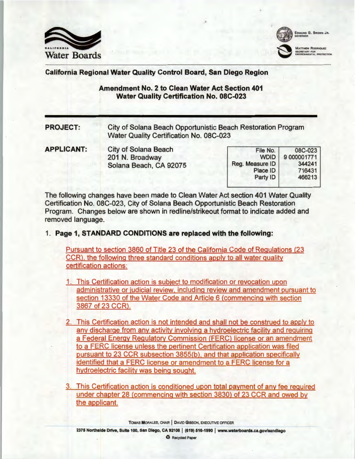



#### California Regional Water Quality Control Board, San Diego Region

### Amendment No. 2 to Clean Water Act Section 401 Water Quality Certification No. OSC-023

PROJECT: City of Solana Beach Opportunistic Beach Restoration Program Water Quality Certification No. 08C-023

APPLICANT: City of Solana Beach 201 N. Broadway Solana Beach, CA 92075

| File No.        | 08C-023     |
|-----------------|-------------|
| <b>WDID</b>     | 9 000001771 |
| Reg. Measure ID | 344241      |
| Place ID        | 716431      |
| Party ID        | 466213      |
|                 |             |

The following changes have been made to Clean Water Act section 401 Water Quality Certification No. 08C-023, City of Solana Beach Opportunistic Beach Restoration Program. Changes below are shown in redline/strikeout format to indicate added and removed language.

## 1. Page 1, STANDARD CONDITIONS are replaced with the following:

Pursuant to section 3860 of Title 23 of the California Code of Regulations (23 CCR), the following three standard conditions apply to all water quality certification actions:

1. This Certification action is subject to modification or revocation upon administrative or judicial review, including review and amendment pursuant to section 13330 of the Water Code and Article 6 (commencing with section 3867 of 23 CCR).

- 2. This Certification action is not intended and shall not be construed to apply to any discharge from any activity involving a hydroelectric facility and requiring a Federal Energy Regulatory Commission (FERC) license or an amendment to a FERC license unless the pertinent Certification application was filed pursuant to 23 CCR subsection 3855(b), and that application specifically identified that a FERC license or amendment to a FERC license for a hydroelectric facility was being sought.
- 3. This Certification action is conditioned upon total payment of any fee required under chapter 28 (commencing with section 3830) of 23 CCR and owed by the applicant.

TOMAS MORALES, CHAIR | DAVID GIBSON, EXECUTIVE OFFICER

2375 Northside Drive, Suite 100, San Diego, CA 92108 I (619) 516-1990 I www.waterboards.ca.gov/sandlego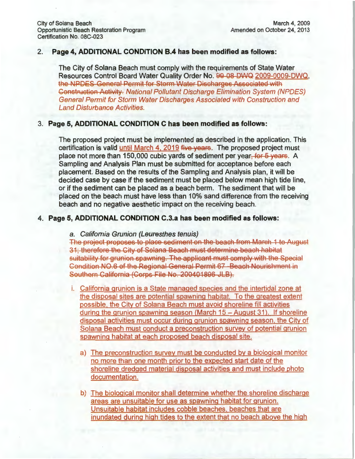#### 2. **Page 4, ADDITIONAL CONDITION 8.4 has been modified as follows:**

The City of Solana Beach must comply with the requirements of State Water Resources Control Board Water Quality Order No. 99-08-DWQ 2009-0009-DWQ, the NPDES-General Permit for Storm Water Discharges Associated with Construction Activity. National Pollutant Discharge Elimination System (NPDES) General Permit for Storm Water Discharges Associated with Construction and Land Disturbance Activities.

#### 3. **Page 5, ADDITIONAL CONDITION C has been modified as follows:**

The proposed project must be implemented as described in the application. This certification is valid until March 4, 2019 five years. The proposed project must place not more than 150,000 cubic yards of sediment per year, for 5 years. A Sampling and Analysis Plan must be submitted for acceptance before each placement. Based on the results of the Sampling and Analysis plan, it will be decided case by case if the sediment must be placed below mean high tide line, or if the sediment can be placed as a beach berm. The sediment that will be placed on the beach must have less than 10% sand difference from the receiving beach and no negative aesthetic impact on the receiving beach.

#### **4. Page 5, ADDITIONAL CONDITION C.3.a has been modified as follows:**

#### a. California Grunion (Leuresthes tenuis)

The project proposes to place sediment on the beach from March 1 to August 31; therefore the City of Solana Beach must determine beach habitat suitability for grunion spawning. The applicant must comply with the Special Condition N0.6 of the Regional General Permit 67 Beach Nourishment in Southern California (Corps File No. 200401896-JLB).

- i. California grunion is a State managed species and the intertidal zone at the disposal sites are potential spawning habitat. To the greatest extent possible. the City of Solana Beach must avoid shoreline fill activities during the grunion spawning season (March  $15 -$  August 31). If shoreline disposal activities must occur during grunion spawning season, the City of Solana Beach must conduct a preconstruction survey of potential grunion spawning habitat at each proposed beach disposal site.
	- a) The preconstruction survey must be conducted by a biological monitor no more than one month prior to the expected start date of the shoreline dredged material disposal activities and must include photo documentation.
	- b) The biological monitor shall determine whether the shoreline discharge areas are unsuitable for use as spawning habitat for grunion. Unsuitable habitat includes cobble beaches. beaches that are inundated during high tides to the extent that no beach above the high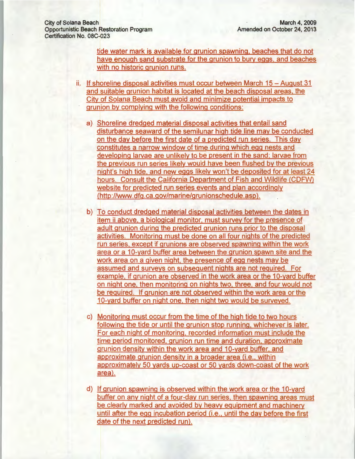tide water mark is available for grunion spawning, beaches that do not have enough sand substrate for the grunion to bury eggs. and beaches with no historic grunion runs.

- ii. If shoreline disposal activities must occur between March 15 August 31 and suitable grunion habitat is located at the beach disposal areas. the City of Solana Beach must avoid and minimize potential impacts to grunion by complying with the following conditions:
	- a) Shoreline dredged material disposal activities that entail sand disturbance seaward of the semilunar high tide line may be conducted on the day before the first date of a predicted run series. This day constitutes a narrow window of time during which egg nests and developing larvae are unlikely to be present in the sand; larvae from the previous run series likely would have been flushed by the previous night's high tide. and new eggs likely won't be deposited for at least 24 hours. Consult the California Department of Fish and Wildlife (COFW) website for predicted run series events and plan accordingly (http://www.dfg.ca.gov/marine/grunionschedule.asp).
	- b) To conduct dredged material disposal activities between the dates in item ii above. a biological monitor. must survey for the presence of adult grunion during the predicted grunion runs prior to the disposal activities. Monitoring must be done on all four nights of the predicted run series. except if grunions are observed spawning within the work area or a 10-yard buffer area between the grunion spawn site and the work area on a given night. the presence of egg nests may be assumed and surveys on subsequent nights are not required. For example, if grunion are observed in the work area or the 10-yard buffer on night one. then monitoring on nights two. three. and four would not be required. If grunion are not observed within the work area or the 10-yard buffer on night one, then night two would be surveyed.
	- c) Monitoring must occur from the time of the high tide to two hours following the tide or until the grunion stop running. whichever is later. For each night of monitoring, recorded information must include the time period monitored. grunion run time and duration. approximate grunion density within the work area and 10-yard buffer, and approximate grunion density in a broader area (i.e., within approximately 50 yards up-coast or 50 yards down-coast of the work area).
	- d) If grunion spawning is observed within the work area or the 1 0-yard buffer on any night of a four-day run series. then spawning areas must be clearly marked and avoided by heavy equipment and machinery until after the egg incubation period (i.e .. until the day before the first date of the next predicted run).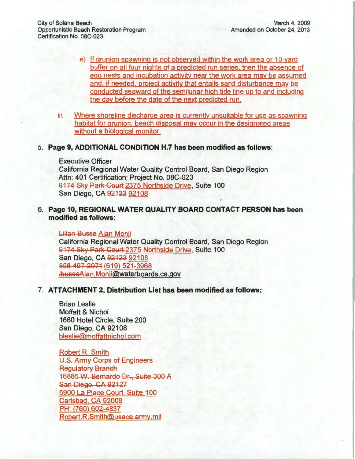- e) If grunion spawning is not observed within the work area or 10-yard buffer on all four nights of a predicted run series. then the absence of egg nests and incubation activity near the work area may be assumed and. if needed. project activity that entails sand disturbance may be conducted seaward of the semilunar high tide line up to and including the day before the date of the next predicted run.
- iii. Where shoreline discharge area is currently unsuitable for use as spawning habitat for grunion. beach disposal may occur in the designated areas without a biological monitor.

#### 5. **Page 9, ADDITIONAL CONDITION H.7 has been modified as follows:**

Executive Officer California Regional Water Quality Control Board, San Diego Region Attn: 401 Certification; Project No. 08C-023 9174 Sky Park Court 2375 Northside Drive, Suite 100 San Diego, CA <del>92123</del> 92108

6. **Page 10, REGIONAL WATER QUALITY BOARD CONTACT PERSON has been modified as follows:** 

Lilian Busse Alan Monii California Regional Water Quality Control Board, San Diego Region 9174 Sky Park Court 2375 Northside Drive, Suite 100 San Diego, CA 92123 92108 858 467 2971 (619) 521-3968 lbusseAian. Monj i@waterboards.ca.gov

# 7. **ATTACHMENT 2, Distribution List has been modified as follows:**

Brian Leslie Moffatt & Nichol 1660 Hotel Circle, Suite 200 San Diego, CA 92108 bleslie@moffattnichol.com

Robert R. Smith U.S. Army Corps of Engineers Regulatory Branch 16885 VV. Bernardo Dr., Suite 300 A San Diego, CA 92127 5900 La Place Court, Suite 100 Carlsbad. CA 92008 PH: (760) 602-4837 Robert.R.Smith@usace.army.mil